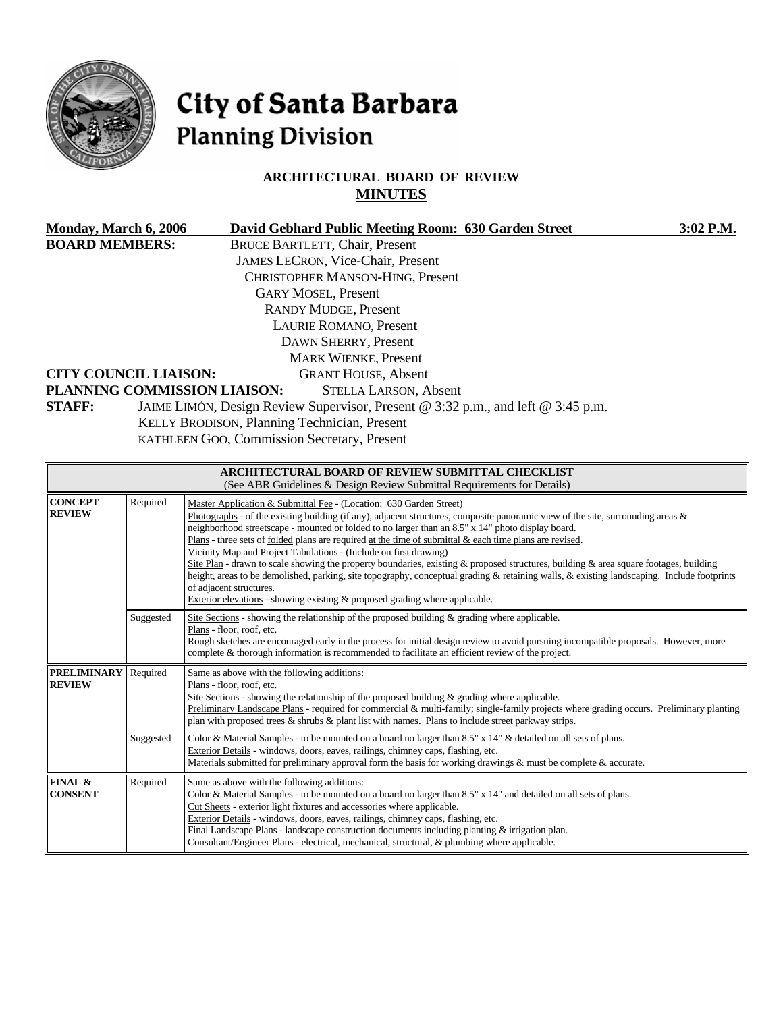

# City of Santa Barbara **Planning Division**

# **ARCHITECTURAL BOARD OF REVIEW MINUTES**

| <b>Monday, March 6, 2006</b>         | David Gebhard Public Meeting Room: 630 Garden Street<br>3:02 P.M.                                                |
|--------------------------------------|------------------------------------------------------------------------------------------------------------------|
| <b>BOARD MEMBERS:</b>                | <b>BRUCE BARTLETT, Chair, Present</b>                                                                            |
|                                      | <b>JAMES LECRON, Vice-Chair, Present</b>                                                                         |
|                                      | <b>CHRISTOPHER MANSON-HING, Present</b>                                                                          |
|                                      | <b>GARY MOSEL, Present</b>                                                                                       |
|                                      | <b>RANDY MUDGE, Present</b>                                                                                      |
|                                      | <b>LAURIE ROMANO, Present</b>                                                                                    |
|                                      | DAWN SHERRY, Present                                                                                             |
|                                      | <b>MARK WIENKE, Present</b>                                                                                      |
| <b>CITY COUNCIL LIAISON:</b>         | <b>GRANT HOUSE, Absent</b>                                                                                       |
|                                      | PLANNING COMMISSION LIAISON:<br><b>STELLA LARSON, Absent</b>                                                     |
| <b>STAFF:</b>                        | JAIME LIMÓN, Design Review Supervisor, Present @ 3:32 p.m., and left @ 3:45 p.m.                                 |
|                                      | KELLY BRODISON, Planning Technician, Present                                                                     |
|                                      | KATHLEEN GOO, Commission Secretary, Present                                                                      |
|                                      |                                                                                                                  |
|                                      | ARCHITECTURAL BOARD OF REVIEW SUBMITTAL CHECKLIST                                                                |
|                                      | (See ABR Guidelines & Design Review Submittal Requirements for Details)                                          |
| $D_{\text{non-ideal}}$<br>$CONCF$ PT | $\mathbf{r}$<br>$\mathbf{a}$ at $\mathbf{a}$ and $\mathbf{b}$ and $\mathbf{a}$ and $\mathbf{a}$ and $\mathbf{a}$ |

| <b>CONCEPT</b><br><b>REVIEW</b>                 | Required  | Master Application & Submittal Fee - (Location: 630 Garden Street)<br>Photographs - of the existing building (if any), adjacent structures, composite panoramic view of the site, surrounding areas $\&$<br>neighborhood streetscape - mounted or folded to no larger than an 8.5" x 14" photo display board.<br>Plans - three sets of <u>folded</u> plans are required at the time of submittal $\&$ each time plans are revised.<br>Vicinity Map and Project Tabulations - (Include on first drawing)<br>Site Plan - drawn to scale showing the property boundaries, existing & proposed structures, building & area square footages, building<br>height, areas to be demolished, parking, site topography, conceptual grading & retaining walls, & existing landscaping. Include footprints<br>of adjacent structures.<br>Exterior elevations - showing existing & proposed grading where applicable. |
|-------------------------------------------------|-----------|----------------------------------------------------------------------------------------------------------------------------------------------------------------------------------------------------------------------------------------------------------------------------------------------------------------------------------------------------------------------------------------------------------------------------------------------------------------------------------------------------------------------------------------------------------------------------------------------------------------------------------------------------------------------------------------------------------------------------------------------------------------------------------------------------------------------------------------------------------------------------------------------------------|
|                                                 | Suggested | Site Sections - showing the relationship of the proposed building $\&$ grading where applicable.<br>Plans - floor, roof, etc.<br>Rough sketches are encouraged early in the process for initial design review to avoid pursuing incompatible proposals. However, more<br>complete & thorough information is recommended to facilitate an efficient review of the project.                                                                                                                                                                                                                                                                                                                                                                                                                                                                                                                                |
| <b>PRELIMINARY</b><br>Required<br><b>REVIEW</b> |           | Same as above with the following additions:<br>Plans - floor, roof, etc.<br>Site Sections - showing the relationship of the proposed building $\&$ grading where applicable.<br>Preliminary Landscape Plans - required for commercial & multi-family; single-family projects where grading occurs. Preliminary planting<br>plan with proposed trees $\&$ shrubs $\&$ plant list with names. Plans to include street parkway strips.                                                                                                                                                                                                                                                                                                                                                                                                                                                                      |
|                                                 | Suggested | Color & Material Samples - to be mounted on a board no larger than 8.5" x 14" & detailed on all sets of plans.<br>Exterior Details - windows, doors, eaves, railings, chimney caps, flashing, etc.<br>Materials submitted for preliminary approval form the basis for working drawings & must be complete & accurate.                                                                                                                                                                                                                                                                                                                                                                                                                                                                                                                                                                                    |
| FINAL &<br><b>CONSENT</b>                       | Required  | Same as above with the following additions:<br>Color & Material Samples - to be mounted on a board no larger than $8.5"$ x $14"$ and detailed on all sets of plans.<br>Cut Sheets - exterior light fixtures and accessories where applicable.<br>Exterior Details - windows, doors, eaves, railings, chimney caps, flashing, etc.<br>Final Landscape Plans - landscape construction documents including planting $&$ irrigation plan.<br>Consultant/Engineer Plans - electrical, mechanical, structural, & plumbing where applicable.                                                                                                                                                                                                                                                                                                                                                                    |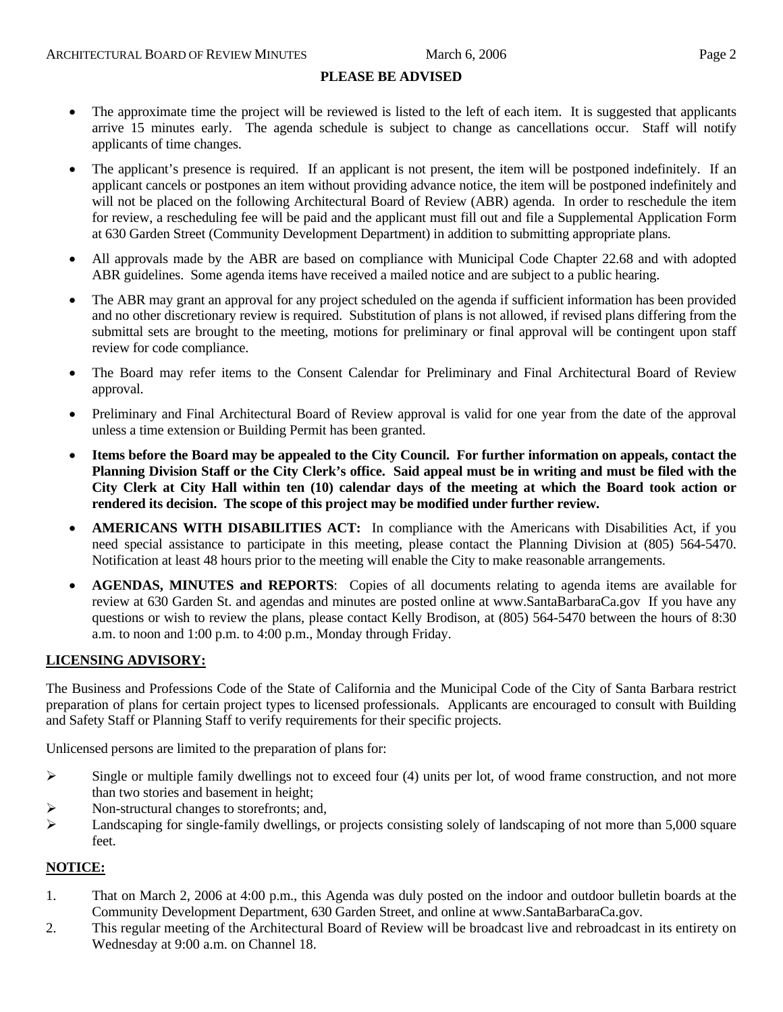## **PLEASE BE ADVISED**

- The approximate time the project will be reviewed is listed to the left of each item. It is suggested that applicants arrive 15 minutes early. The agenda schedule is subject to change as cancellations occur. Staff will notify applicants of time changes.
- The applicant's presence is required. If an applicant is not present, the item will be postponed indefinitely. If an applicant cancels or postpones an item without providing advance notice, the item will be postponed indefinitely and will not be placed on the following Architectural Board of Review (ABR) agenda. In order to reschedule the item for review, a rescheduling fee will be paid and the applicant must fill out and file a Supplemental Application Form at 630 Garden Street (Community Development Department) in addition to submitting appropriate plans.
- All approvals made by the ABR are based on compliance with Municipal Code Chapter 22.68 and with adopted ABR guidelines. Some agenda items have received a mailed notice and are subject to a public hearing.
- The ABR may grant an approval for any project scheduled on the agenda if sufficient information has been provided and no other discretionary review is required. Substitution of plans is not allowed, if revised plans differing from the submittal sets are brought to the meeting, motions for preliminary or final approval will be contingent upon staff review for code compliance.
- The Board may refer items to the Consent Calendar for Preliminary and Final Architectural Board of Review approval.
- Preliminary and Final Architectural Board of Review approval is valid for one year from the date of the approval unless a time extension or Building Permit has been granted.
- **Items before the Board may be appealed to the City Council. For further information on appeals, contact the Planning Division Staff or the City Clerk's office. Said appeal must be in writing and must be filed with the City Clerk at City Hall within ten (10) calendar days of the meeting at which the Board took action or rendered its decision. The scope of this project may be modified under further review.**
- **AMERICANS WITH DISABILITIES ACT:** In compliance with the Americans with Disabilities Act, if you need special assistance to participate in this meeting, please contact the Planning Division at (805) 564-5470. Notification at least 48 hours prior to the meeting will enable the City to make reasonable arrangements.
- **AGENDAS, MINUTES and REPORTS**: Copies of all documents relating to agenda items are available for review at 630 Garden St. and agendas and minutes are posted online at [www.SantaBarbaraCa.gov](http://www.santabarbaraca.gov/) If you have any questions or wish to review the plans, please contact Kelly Brodison, at (805) 564-5470 between the hours of 8:30 a.m. to noon and 1:00 p.m. to 4:00 p.m., Monday through Friday.

## **LICENSING ADVISORY:**

The Business and Professions Code of the State of California and the Municipal Code of the City of Santa Barbara restrict preparation of plans for certain project types to licensed professionals. Applicants are encouraged to consult with Building and Safety Staff or Planning Staff to verify requirements for their specific projects.

Unlicensed persons are limited to the preparation of plans for:

- $\triangleright$  Single or multiple family dwellings not to exceed four (4) units per lot, of wood frame construction, and not more than two stories and basement in height;
- ¾ Non-structural changes to storefronts; and,
- $\blacktriangleright$  Landscaping for single-family dwellings, or projects consisting solely of landscaping of not more than 5,000 square feet.

## **NOTICE:**

- 1. That on March 2, 2006 at 4:00 p.m., this Agenda was duly posted on the indoor and outdoor bulletin boards at the Community Development Department, 630 Garden Street, and online at www.SantaBarbaraCa.gov.
- 2. This regular meeting of the Architectural Board of Review will be broadcast live and rebroadcast in its entirety on Wednesday at 9:00 a.m. on Channel 18.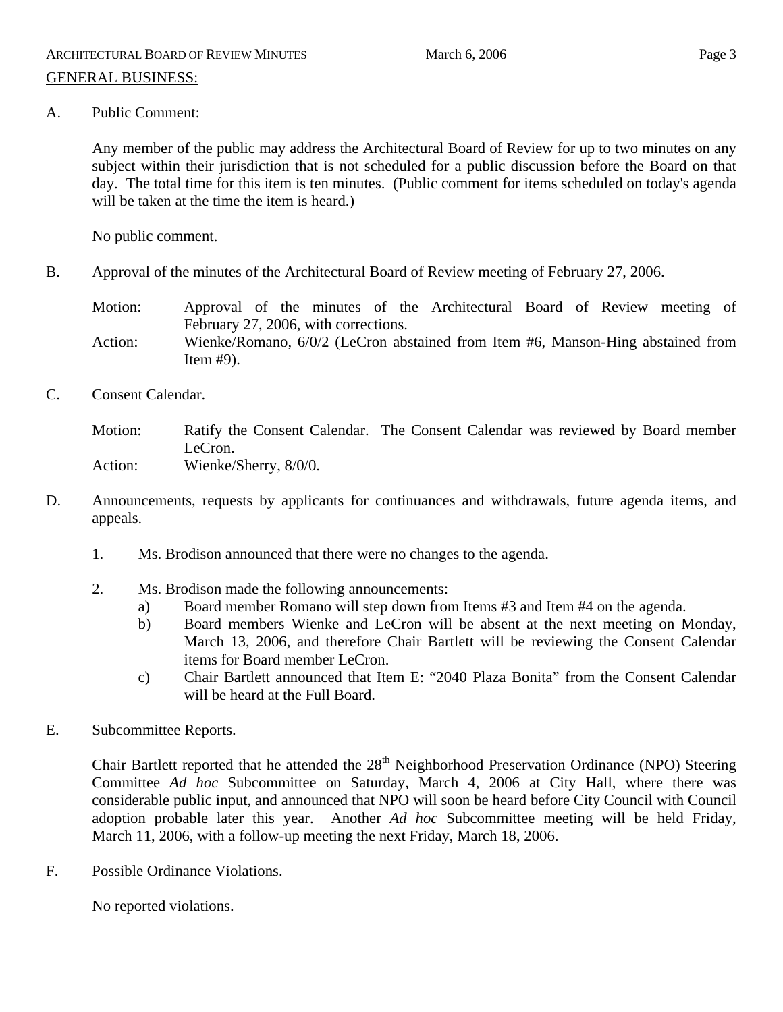Any member of the public may address the Architectural Board of Review for up to two minutes on any subject within their jurisdiction that is not scheduled for a public discussion before the Board on that day. The total time for this item is ten minutes. (Public comment for items scheduled on today's agenda will be taken at the time the item is heard.)

No public comment.

B. Approval of the minutes of the Architectural Board of Review meeting of February 27, 2006.

Motion: Approval of the minutes of the Architectural Board of Review meeting of February 27, 2006, with corrections.

- Action: Wienke/Romano, 6/0/2 (LeCron abstained from Item #6, Manson-Hing abstained from Item #9).
- C. Consent Calendar.

Motion: Ratify the Consent Calendar. The Consent Calendar was reviewed by Board member LeCron. Action: Wienke/Sherry, 8/0/0.

- D. Announcements, requests by applicants for continuances and withdrawals, future agenda items, and appeals.
	- 1. Ms. Brodison announced that there were no changes to the agenda.
	- 2. Ms. Brodison made the following announcements:
		- a) Board member Romano will step down from Items #3 and Item #4 on the agenda.
		- b) Board members Wienke and LeCron will be absent at the next meeting on Monday, March 13, 2006, and therefore Chair Bartlett will be reviewing the Consent Calendar items for Board member LeCron.
		- c) Chair Bartlett announced that Item E: "2040 Plaza Bonita" from the Consent Calendar will be heard at the Full Board.
- E. Subcommittee Reports.

Chair Bartlett reported that he attended the 28<sup>th</sup> Neighborhood Preservation Ordinance (NPO) Steering Committee *Ad hoc* Subcommittee on Saturday, March 4, 2006 at City Hall, where there was considerable public input, and announced that NPO will soon be heard before City Council with Council adoption probable later this year. Another *Ad hoc* Subcommittee meeting will be held Friday, March 11, 2006, with a follow-up meeting the next Friday, March 18, 2006.

F. Possible Ordinance Violations.

No reported violations.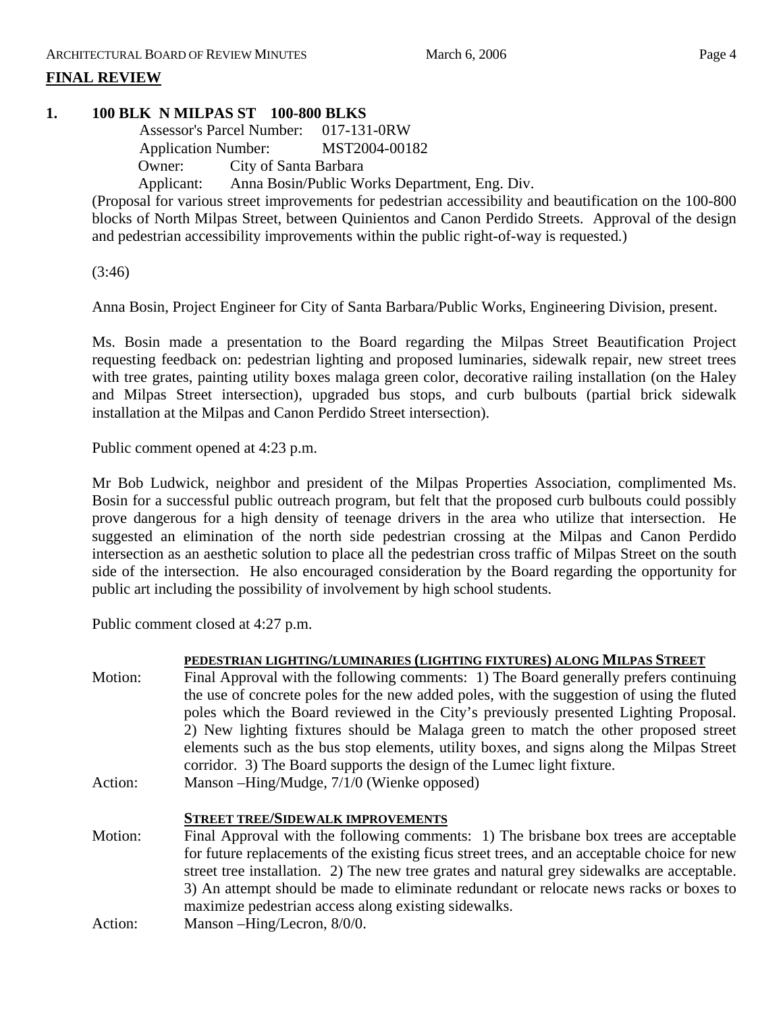# **FINAL REVIEW**

# **1. 100 BLK N MILPAS ST 100-800 BLKS**

 Assessor's Parcel Number: 017-131-0RW Application Number: MST2004-00182 Owner: City of Santa Barbara Applicant: Anna Bosin/Public Works Department, Eng. Div.

(Proposal for various street improvements for pedestrian accessibility and beautification on the 100-800 blocks of North Milpas Street, between Quinientos and Canon Perdido Streets. Approval of the design and pedestrian accessibility improvements within the public right-of-way is requested.)

(3:46)

Anna Bosin, Project Engineer for City of Santa Barbara/Public Works, Engineering Division, present.

Ms. Bosin made a presentation to the Board regarding the Milpas Street Beautification Project requesting feedback on: pedestrian lighting and proposed luminaries, sidewalk repair, new street trees with tree grates, painting utility boxes malaga green color, decorative railing installation (on the Haley and Milpas Street intersection), upgraded bus stops, and curb bulbouts (partial brick sidewalk installation at the Milpas and Canon Perdido Street intersection).

Public comment opened at 4:23 p.m.

Mr Bob Ludwick, neighbor and president of the Milpas Properties Association, complimented Ms. Bosin for a successful public outreach program, but felt that the proposed curb bulbouts could possibly prove dangerous for a high density of teenage drivers in the area who utilize that intersection. He suggested an elimination of the north side pedestrian crossing at the Milpas and Canon Perdido intersection as an aesthetic solution to place all the pedestrian cross traffic of Milpas Street on the south side of the intersection. He also encouraged consideration by the Board regarding the opportunity for public art including the possibility of involvement by high school students.

Public comment closed at 4:27 p.m.

|         | PEDESTRIAN LIGHTING/LUMINARIES (LIGHTING FIXTURES) ALONG MILPAS STREET                       |
|---------|----------------------------------------------------------------------------------------------|
| Motion: | Final Approval with the following comments: 1) The Board generally prefers continuing        |
|         | the use of concrete poles for the new added poles, with the suggestion of using the fluted   |
|         | poles which the Board reviewed in the City's previously presented Lighting Proposal.         |
|         | 2) New lighting fixtures should be Malaga green to match the other proposed street           |
|         | elements such as the bus stop elements, utility boxes, and signs along the Milpas Street     |
|         | corridor. 3) The Board supports the design of the Lumec light fixture.                       |
| Action: | Manson – Hing/Mudge, 7/1/0 (Wienke opposed)                                                  |
|         |                                                                                              |
|         |                                                                                              |
|         | <b>STREET TREE/SIDEWALK IMPROVEMENTS</b>                                                     |
| Motion: | Final Approval with the following comments: 1) The brisbane box trees are acceptable         |
|         | for future replacements of the existing ficus street trees, and an acceptable choice for new |
|         | street tree installation. 2) The new tree grates and natural grey sidewalks are acceptable.  |
|         | 3) An attempt should be made to eliminate redundant or relocate news racks or boxes to       |
|         | maximize pedestrian access along existing sidewalks.                                         |
| Action: | Manson -Hing/Lecron, 8/0/0.                                                                  |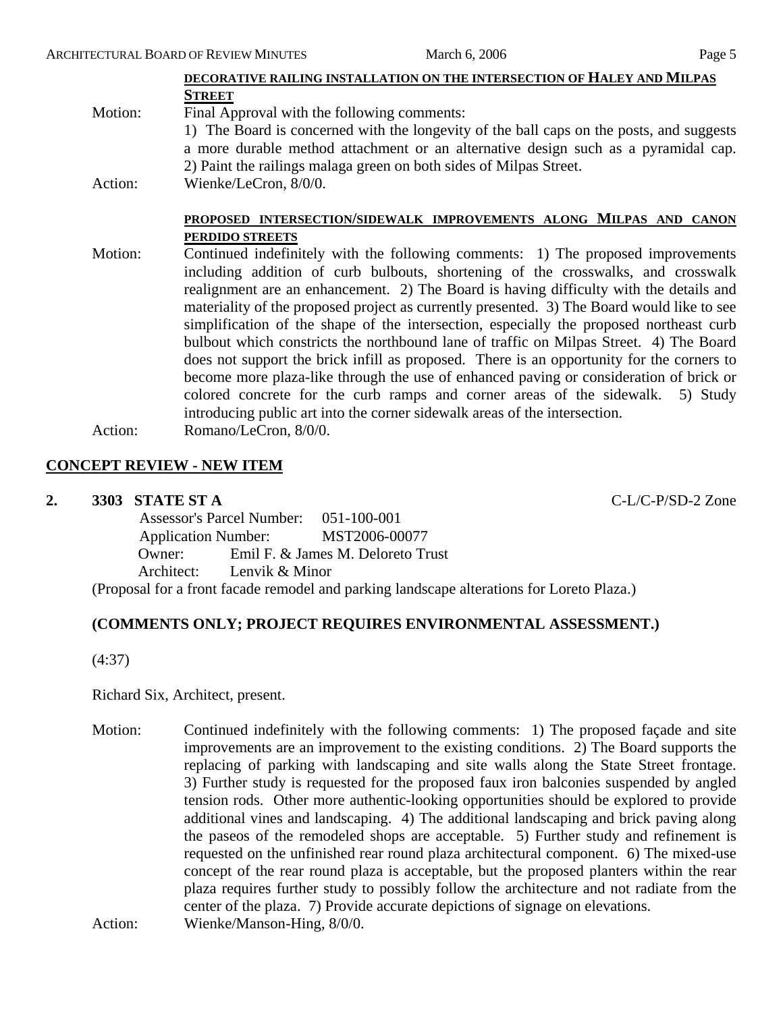|         | DECORATIVE RAILING INSTALLATION ON THE INTERSECTION OF HALEY AND MILPAS                    |
|---------|--------------------------------------------------------------------------------------------|
|         | <b>STREET</b>                                                                              |
| Motion: | Final Approval with the following comments:                                                |
|         | 1) The Board is concerned with the longevity of the ball caps on the posts, and suggests   |
|         | a more durable method attachment or an alternative design such as a pyramidal cap.         |
|         | 2) Paint the railings malaga green on both sides of Milpas Street.                         |
| Action: | Wienke/LeCron, 8/0/0.                                                                      |
|         |                                                                                            |
|         | PROPOSED INTERSECTION/SIDEWALK IMPROVEMENTS ALONG MILPAS AND CANON                         |
|         | PERDIDO STREETS                                                                            |
| Motion: | Continued indefinitely with the following comments: 1) The proposed improvements           |
|         | including addition of curb bulbouts, shortening of the crosswalks, and crosswalk           |
|         | realignment are an enhancement. 2) The Board is having difficulty with the details and     |
|         | materiality of the proposed project as currently presented. 3) The Board would like to see |
|         |                                                                                            |
|         | simplification of the shape of the intersection, especially the proposed northeast curb    |
|         | bulbout which constricts the northbound lane of traffic on Milpas Street. 4) The Board     |
|         | does not support the brick infill as proposed. There is an opportunity for the corners to  |
|         | become more plaza-like through the use of enhanced paving or consideration of brick or     |
|         | colored concrete for the curb ramps and corner areas of the sidewalk. 5) Study             |
|         | introducing public art into the corner sidewalk areas of the intersection.                 |
|         | $\sigma$ $\sigma$ $\alpha$ $\alpha$                                                        |

Action: Romano/LeCron, 8/0/0.

## **CONCEPT REVIEW - NEW ITEM**

#### **2. 3303 STATE ST A** C-L/C-P/SD-2 Zone

|  | Assessor's Parcel Number: 051-100-001 |                |                                                          |
|--|---------------------------------------|----------------|----------------------------------------------------------|
|  |                                       |                | Application Number: MST2006-00077                        |
|  | Owner:                                |                | Emil F. & James M. Deloreto Trust                        |
|  | Architect:                            | Lenvik & Minor |                                                          |
|  |                                       |                | Dreamed for a front focado remodel and negling landscape |

(Proposal for a front facade remodel and parking landscape alterations for Loreto Plaza.)

## **(COMMENTS ONLY; PROJECT REQUIRES ENVIRONMENTAL ASSESSMENT.)**

(4:37)

Richard Six, Architect, present.

Motion: Continued indefinitely with the following comments: 1) The proposed façade and site improvements are an improvement to the existing conditions. 2) The Board supports the replacing of parking with landscaping and site walls along the State Street frontage. 3) Further study is requested for the proposed faux iron balconies suspended by angled tension rods. Other more authentic-looking opportunities should be explored to provide additional vines and landscaping. 4) The additional landscaping and brick paving along the paseos of the remodeled shops are acceptable. 5) Further study and refinement is requested on the unfinished rear round plaza architectural component. 6) The mixed-use concept of the rear round plaza is acceptable, but the proposed planters within the rear plaza requires further study to possibly follow the architecture and not radiate from the center of the plaza. 7) Provide accurate depictions of signage on elevations.

Action: Wienke/Manson-Hing,  $8/0/0$ .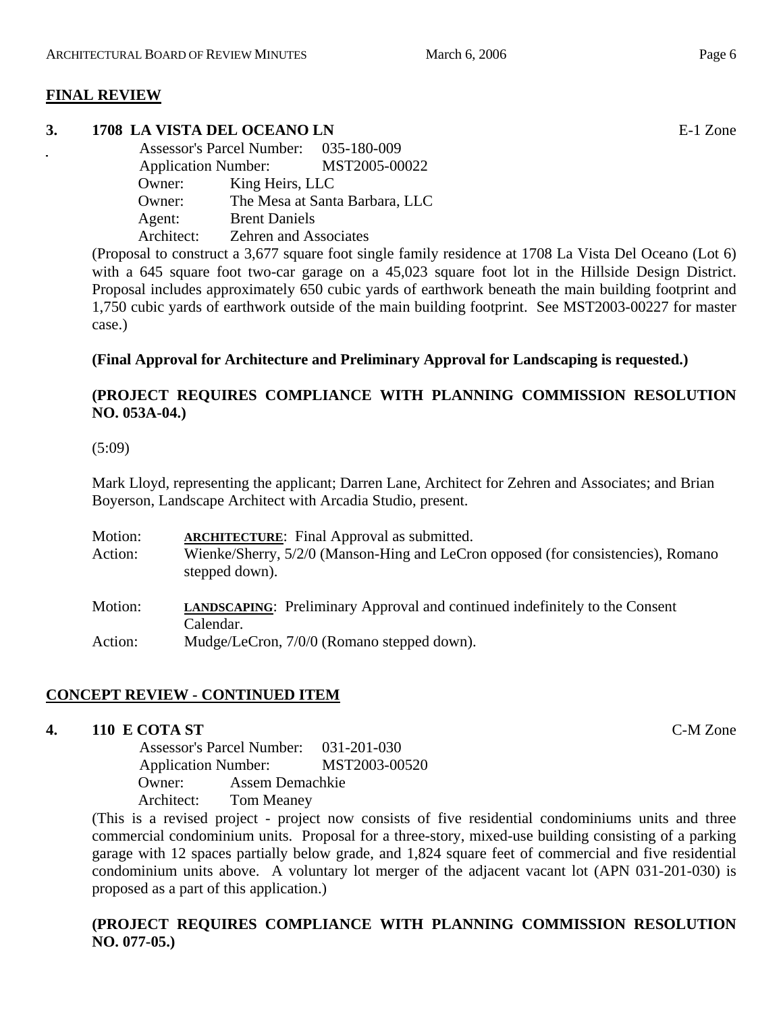# **FINAL REVIEW**

# **3. 1708 LA VISTA DEL OCEANO LN** E-1 Zone

| Assessor's Parcel Number: 035-180-009<br><b>Application Number:</b> |                              | MST2005-00022                  |
|---------------------------------------------------------------------|------------------------------|--------------------------------|
| Owner:                                                              | King Heirs, LLC              |                                |
| Owner:                                                              |                              | The Mesa at Santa Barbara, LLC |
| Agent:                                                              | <b>Brent Daniels</b>         |                                |
| Architect:                                                          | <b>Zehren and Associates</b> |                                |

(Proposal to construct a 3,677 square foot single family residence at 1708 La Vista Del Oceano (Lot 6) with a 645 square foot two-car garage on a 45,023 square foot lot in the Hillside Design District. Proposal includes approximately 650 cubic yards of earthwork beneath the main building footprint and 1,750 cubic yards of earthwork outside of the main building footprint. See MST2003-00227 for master case.)

# **(Final Approval for Architecture and Preliminary Approval for Landscaping is requested.)**

# **(PROJECT REQUIRES COMPLIANCE WITH PLANNING COMMISSION RESOLUTION NO. 053A-04.)**

## (5:09)

Mark Lloyd, representing the applicant; Darren Lane, Architect for Zehren and Associates; and Brian Boyerson, Landscape Architect with Arcadia Studio, present.

| Motion:<br>Action: | <b>ARCHITECTURE:</b> Final Approval as submitted.<br>Wienke/Sherry, 5/2/0 (Manson-Hing and LeCron opposed (for consistencies), Romano<br>stepped down). |
|--------------------|---------------------------------------------------------------------------------------------------------------------------------------------------------|
| Motion:            | <b>LANDSCAPING:</b> Preliminary Approval and continued indefinitely to the Consent<br>Calendar.                                                         |
| Action:            | Mudge/LeCron, 7/0/0 (Romano stepped down).                                                                                                              |

# **CONCEPT REVIEW - CONTINUED ITEM**

## **4. 110 E COTA ST** C-M Zone

 Assessor's Parcel Number: 031-201-030 Application Number: MST2003-00520 Owner: Assem Demachkie Architect: Tom Meaney

(This is a revised project - project now consists of five residential condominiums units and three commercial condominium units. Proposal for a three-story, mixed-use building consisting of a parking garage with 12 spaces partially below grade, and 1,824 square feet of commercial and five residential condominium units above. A voluntary lot merger of the adjacent vacant lot (APN 031-201-030) is proposed as a part of this application.)

# **(PROJECT REQUIRES COMPLIANCE WITH PLANNING COMMISSION RESOLUTION NO. 077-05.)**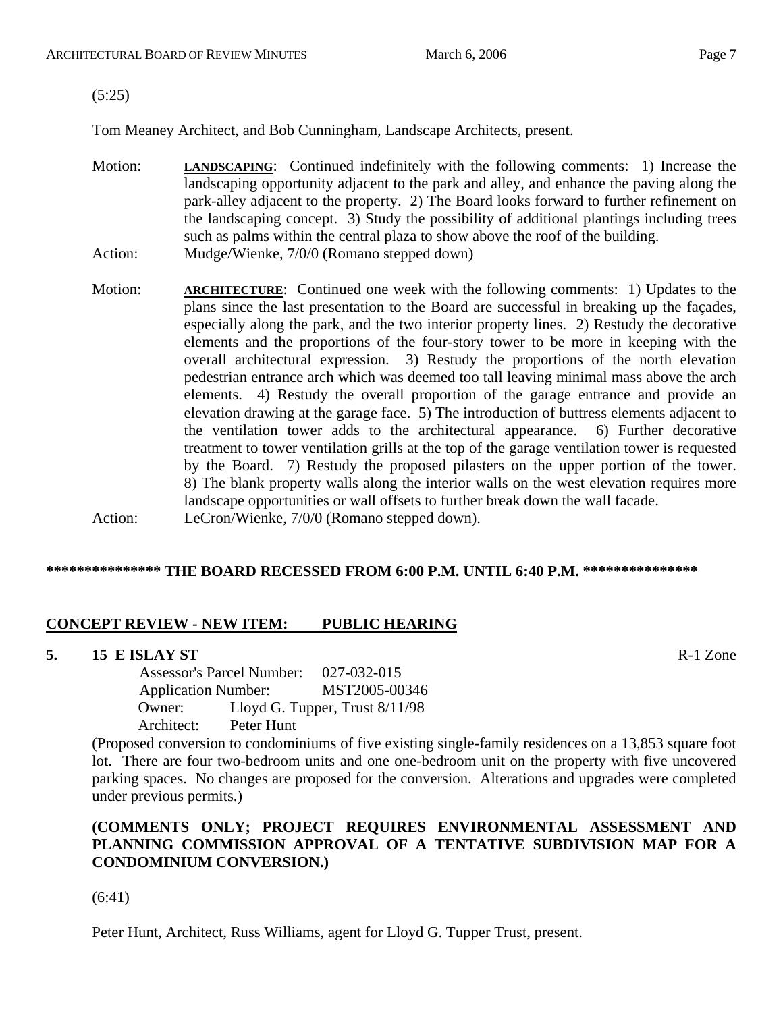(5:25)

Tom Meaney Architect, and Bob Cunningham, Landscape Architects, present.

- Motion: **LANDSCAPING**: Continued indefinitely with the following comments: 1) Increase the landscaping opportunity adjacent to the park and alley, and enhance the paving along the park-alley adjacent to the property. 2) The Board looks forward to further refinement on the landscaping concept. 3) Study the possibility of additional plantings including trees such as palms within the central plaza to show above the roof of the building. Action: Mudge/Wienke, 7/0/0 (Romano stepped down)
- Motion: **ARCHITECTURE:** Continued one week with the following comments: 1) Updates to the plans since the last presentation to the Board are successful in breaking up the façades, especially along the park, and the two interior property lines. 2) Restudy the decorative elements and the proportions of the four-story tower to be more in keeping with the overall architectural expression. 3) Restudy the proportions of the north elevation pedestrian entrance arch which was deemed too tall leaving minimal mass above the arch elements. 4) Restudy the overall proportion of the garage entrance and provide an elevation drawing at the garage face. 5) The introduction of buttress elements adjacent to the ventilation tower adds to the architectural appearance. 6) Further decorative treatment to tower ventilation grills at the top of the garage ventilation tower is requested by the Board. 7) Restudy the proposed pilasters on the upper portion of the tower. 8) The blank property walls along the interior walls on the west elevation requires more landscape opportunities or wall offsets to further break down the wall facade. Action: LeCron/Wienke, 7/0/0 (Romano stepped down).

# **\*\*\*\*\*\*\*\*\*\*\*\*\*\*\* THE BOARD RECESSED FROM 6:00 P.M. UNTIL 6:40 P.M. \*\*\*\*\*\*\*\*\*\*\*\*\*\*\***

## **CONCEPT REVIEW - NEW ITEM: PUBLIC HEARING**

## **5. 15 E ISLAY ST R-1 Zone**

 Assessor's Parcel Number: 027-032-015 Application Number: MST2005-00346 Owner: Lloyd G. Tupper, Trust 8/11/98 Architect: Peter Hunt

(Proposed conversion to condominiums of five existing single-family residences on a 13,853 square foot lot. There are four two-bedroom units and one one-bedroom unit on the property with five uncovered parking spaces. No changes are proposed for the conversion. Alterations and upgrades were completed under previous permits.)

# **(COMMENTS ONLY; PROJECT REQUIRES ENVIRONMENTAL ASSESSMENT AND PLANNING COMMISSION APPROVAL OF A TENTATIVE SUBDIVISION MAP FOR A CONDOMINIUM CONVERSION.)**

(6:41)

Peter Hunt, Architect, Russ Williams, agent for Lloyd G. Tupper Trust, present.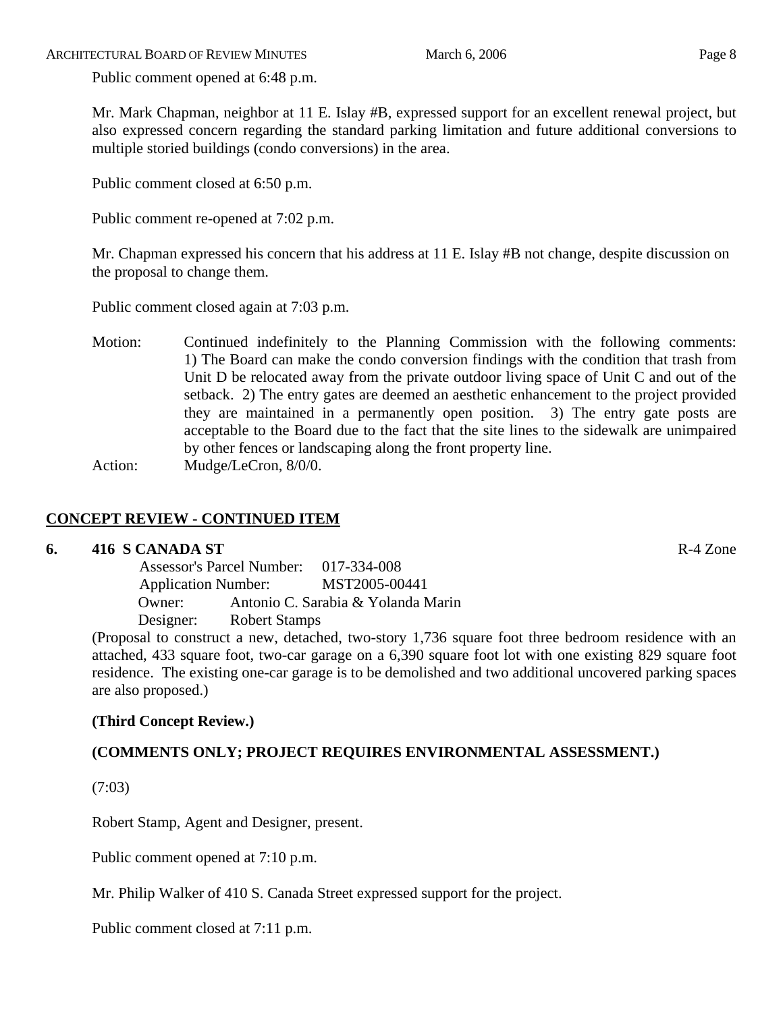Public comment opened at 6:48 p.m.

Mr. Mark Chapman, neighbor at 11 E. Islay #B, expressed support for an excellent renewal project, but also expressed concern regarding the standard parking limitation and future additional conversions to multiple storied buildings (condo conversions) in the area.

Public comment closed at 6:50 p.m.

Public comment re-opened at 7:02 p.m.

Mr. Chapman expressed his concern that his address at 11 E. Islay #B not change, despite discussion on the proposal to change them.

Public comment closed again at 7:03 p.m.

Motion: Continued indefinitely to the Planning Commission with the following comments: 1) The Board can make the condo conversion findings with the condition that trash from Unit D be relocated away from the private outdoor living space of Unit C and out of the setback. 2) The entry gates are deemed an aesthetic enhancement to the project provided they are maintained in a permanently open position. 3) The entry gate posts are acceptable to the Board due to the fact that the site lines to the sidewalk are unimpaired by other fences or landscaping along the front property line. Action: Mudge/LeCron,  $8/0/0$ .

# **CONCEPT REVIEW - CONTINUED ITEM**

# **6. 416 S CANADA ST** R-4 Zone

 Assessor's Parcel Number: 017-334-008 Application Number: MST2005-00441 Owner: Antonio C. Sarabia & Yolanda Marin Designer: Robert Stamps

(Proposal to construct a new, detached, two-story 1,736 square foot three bedroom residence with an attached, 433 square foot, two-car garage on a 6,390 square foot lot with one existing 829 square foot residence. The existing one-car garage is to be demolished and two additional uncovered parking spaces are also proposed.)

# **(Third Concept Review.)**

# **(COMMENTS ONLY; PROJECT REQUIRES ENVIRONMENTAL ASSESSMENT.)**

(7:03)

Robert Stamp, Agent and Designer, present.

Public comment opened at 7:10 p.m.

Mr. Philip Walker of 410 S. Canada Street expressed support for the project.

Public comment closed at 7:11 p.m.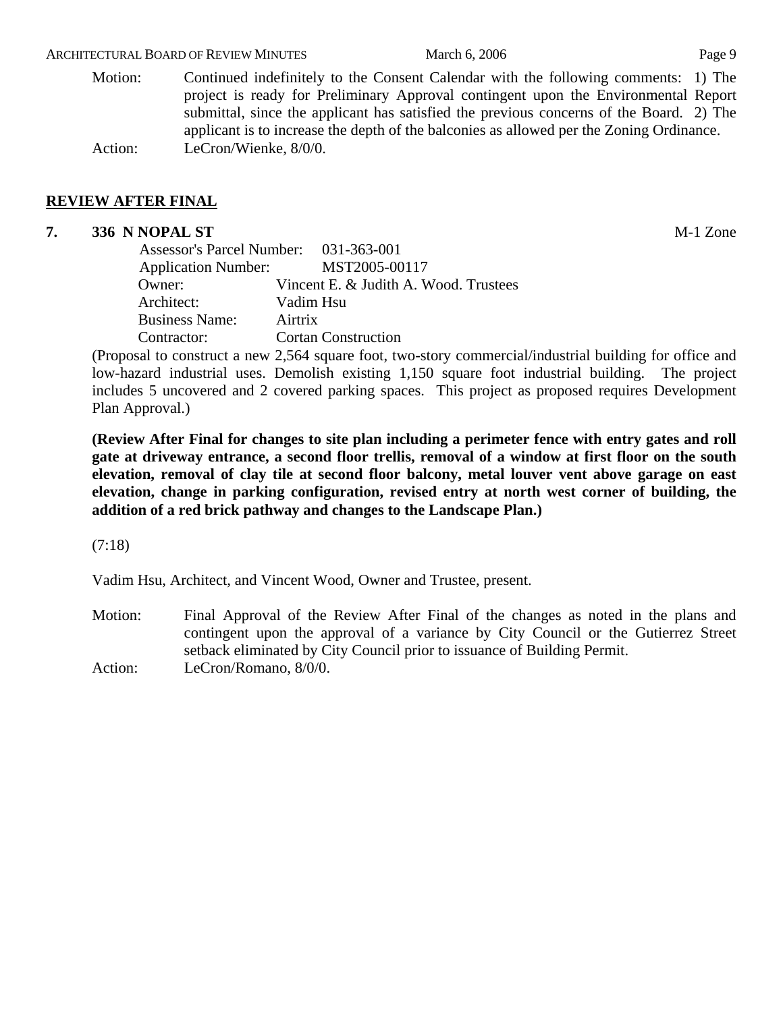#### ARCHITECTURAL BOARD OF REVIEW MINUTES March 6, 2006 March 6, 2006

Motion: Continued indefinitely to the Consent Calendar with the following comments: 1) The project is ready for Preliminary Approval contingent upon the Environmental Report submittal, since the applicant has satisfied the previous concerns of the Board. 2) The applicant is to increase the depth of the balconies as allowed per the Zoning Ordinance. Action: LeCron/Wienke, 8/0/0.

# **REVIEW AFTER FINAL**

# **7. 336 N NOPAL ST** M-1 Zone

|                       | Assessor's Parcel Number: 031-363-001                                                                                                                                                                                                                                                                                                                                        |
|-----------------------|------------------------------------------------------------------------------------------------------------------------------------------------------------------------------------------------------------------------------------------------------------------------------------------------------------------------------------------------------------------------------|
|                       | Application Number: MST2005-00117                                                                                                                                                                                                                                                                                                                                            |
| Owner:                | Vincent E. & Judith A. Wood. Trustees                                                                                                                                                                                                                                                                                                                                        |
| Architect:            | Vadim Hsu                                                                                                                                                                                                                                                                                                                                                                    |
| <b>Business Name:</b> | Airtrix                                                                                                                                                                                                                                                                                                                                                                      |
| Contractor:           | <b>Cortan Construction</b>                                                                                                                                                                                                                                                                                                                                                   |
|                       | $\overline{D}$ 1. . $\overline{C}$ $\overline{C}$ $\overline{C}$ $\overline{C}$ $\overline{C}$ $\overline{C}$ $\overline{C}$ $\overline{C}$ $\overline{C}$ $\overline{C}$ $\overline{C}$ $\overline{C}$ $\overline{C}$ $\overline{C}$ $\overline{C}$ $\overline{C}$ $\overline{C}$ $\overline{C}$ $\overline{C}$ $\overline{C}$ $\overline{C}$ $\overline{C}$ $\overline{C}$ |

(Proposal to construct a new 2,564 square foot, two-story commercial/industrial building for office and low-hazard industrial uses. Demolish existing 1,150 square foot industrial building. The project includes 5 uncovered and 2 covered parking spaces. This project as proposed requires Development Plan Approval.)

**(Review After Final for changes to site plan including a perimeter fence with entry gates and roll gate at driveway entrance, a second floor trellis, removal of a window at first floor on the south elevation, removal of clay tile at second floor balcony, metal louver vent above garage on east elevation, change in parking configuration, revised entry at north west corner of building, the addition of a red brick pathway and changes to the Landscape Plan.)** 

(7:18)

Vadim Hsu, Architect, and Vincent Wood, Owner and Trustee, present.

Motion: Final Approval of the Review After Final of the changes as noted in the plans and contingent upon the approval of a variance by City Council or the Gutierrez Street setback eliminated by City Council prior to issuance of Building Permit.

Action: LeCron/Romano, 8/0/0.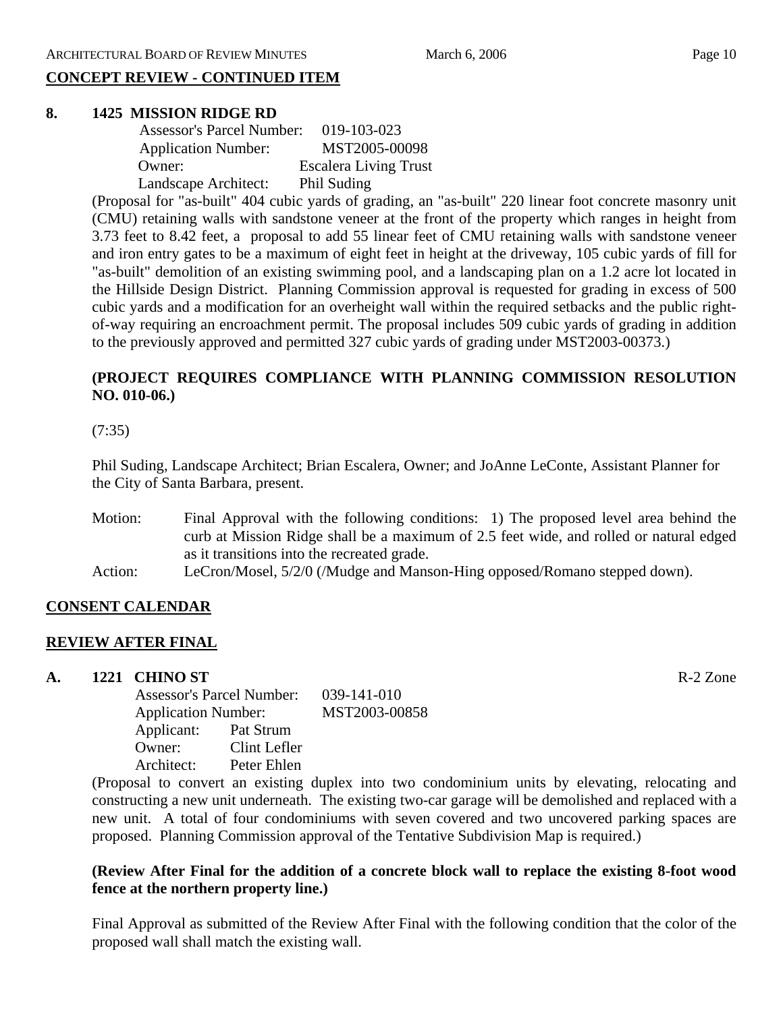# **CONCEPT REVIEW - CONTINUED ITEM**

#### **8. 1425 MISSION RIDGE RD**

| <b>Assessor's Parcel Number:</b> | 019-103-023                  |
|----------------------------------|------------------------------|
| <b>Application Number:</b>       | MST2005-00098                |
| Owner:                           | <b>Escalera Living Trust</b> |
| Landscape Architect:             | Phil Suding                  |

(Proposal for "as-built" 404 cubic yards of grading, an "as-built" 220 linear foot concrete masonry unit (CMU) retaining walls with sandstone veneer at the front of the property which ranges in height from 3.73 feet to 8.42 feet, a proposal to add 55 linear feet of CMU retaining walls with sandstone veneer and iron entry gates to be a maximum of eight feet in height at the driveway, 105 cubic yards of fill for "as-built" demolition of an existing swimming pool, and a landscaping plan on a 1.2 acre lot located in the Hillside Design District. Planning Commission approval is requested for grading in excess of 500 cubic yards and a modification for an overheight wall within the required setbacks and the public rightof-way requiring an encroachment permit. The proposal includes 509 cubic yards of grading in addition to the previously approved and permitted 327 cubic yards of grading under MST2003-00373.)

# **(PROJECT REQUIRES COMPLIANCE WITH PLANNING COMMISSION RESOLUTION NO. 010-06.)**

(7:35)

Phil Suding, Landscape Architect; Brian Escalera, Owner; and JoAnne LeConte, Assistant Planner for the City of Santa Barbara, present.

- Motion: Final Approval with the following conditions: 1) The proposed level area behind the curb at Mission Ridge shall be a maximum of 2.5 feet wide, and rolled or natural edged as it transitions into the recreated grade.
- Action: LeCron/Mosel, 5/2/0 (/Mudge and Manson-Hing opposed/Romano stepped down).

## **CONSENT CALENDAR**

## **REVIEW AFTER FINAL**

## **A. 1221 CHINO ST** R-2 Zone

Assessor's Parcel Number: 039-141-010 Application Number: MST2003-00858 Applicant: Pat Strum Owner: Clint Lefler Architect: Peter Ehlen

(Proposal to convert an existing duplex into two condominium units by elevating, relocating and constructing a new unit underneath. The existing two-car garage will be demolished and replaced with a new unit. A total of four condominiums with seven covered and two uncovered parking spaces are proposed. Planning Commission approval of the Tentative Subdivision Map is required.)

# **(Review After Final for the addition of a concrete block wall to replace the existing 8-foot wood fence at the northern property line.)**

Final Approval as submitted of the Review After Final with the following condition that the color of the proposed wall shall match the existing wall.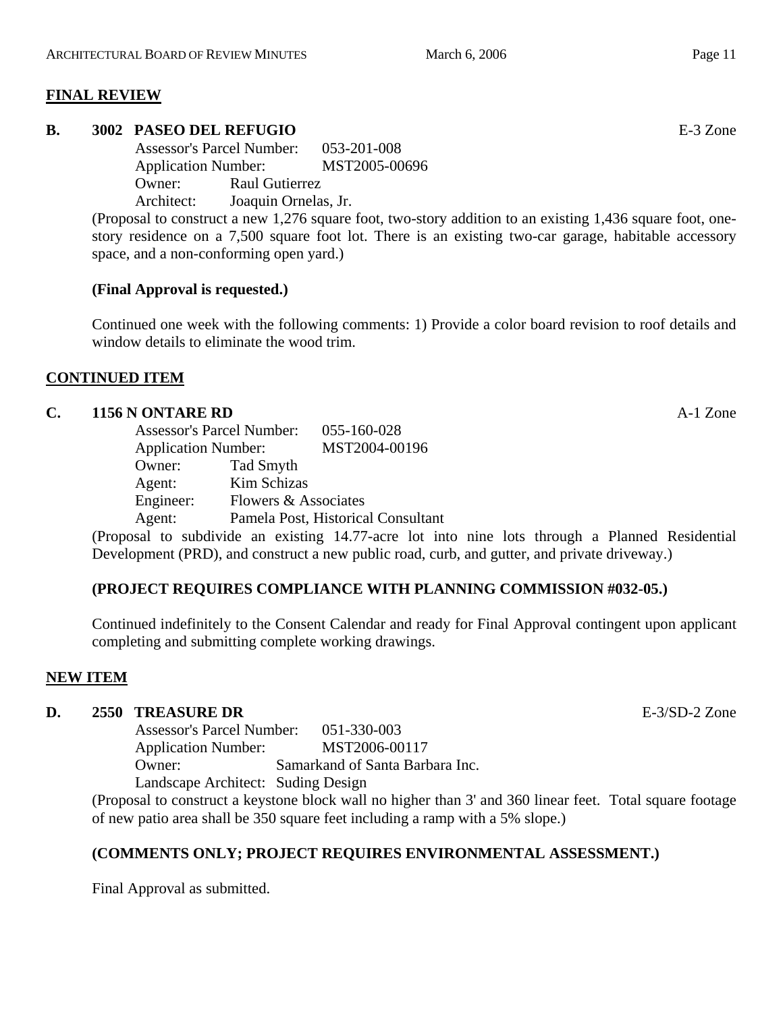# **FINAL REVIEW**

# **B. 3002 PASEO DEL REFUGIO** E-3 Zone

Assessor's Parcel Number: 053-201-008 Application Number: MST2005-00696 Owner: Raul Gutierrez Architect: Joaquin Ornelas, Jr.

(Proposal to construct a new 1,276 square foot, two-story addition to an existing 1,436 square foot, onestory residence on a 7,500 square foot lot. There is an existing two-car garage, habitable accessory space, and a non-conforming open yard.)

# **(Final Approval is requested.)**

Continued one week with the following comments: 1) Provide a color board revision to roof details and window details to eliminate the wood trim.

## **CONTINUED ITEM**

## **C. 1156 N ONTARE RD** A-1 Zone

|           | <b>Assessor's Parcel Number:</b> |                                    |
|-----------|----------------------------------|------------------------------------|
|           | <b>Application Number:</b>       |                                    |
| Owner:    | Tad Smyth                        |                                    |
| Agent:    | Kim Schizas                      |                                    |
| Engineer: | Flowers & Associates             |                                    |
| Agent:    |                                  | Pamela Post, Historical Consultant |

(Proposal to subdivide an existing 14.77-acre lot into nine lots through a Planned Residential Development (PRD), and construct a new public road, curb, and gutter, and private driveway.)

## **(PROJECT REQUIRES COMPLIANCE WITH PLANNING COMMISSION #032-05.)**

Continued indefinitely to the Consent Calendar and ready for Final Approval contingent upon applicant completing and submitting complete working drawings.

## **NEW ITEM**

## **D. 2550 TREASURE DR** E-3/SD-2 Zone

Assessor's Parcel Number: 051-330-003 Application Number: MST2006-00117 Owner: Samarkand of Santa Barbara Inc. Landscape Architect: Suding Design

(Proposal to construct a keystone block wall no higher than 3' and 360 linear feet. Total square footage of new patio area shall be 350 square feet including a ramp with a 5% slope.)

# **(COMMENTS ONLY; PROJECT REQUIRES ENVIRONMENTAL ASSESSMENT.)**

Final Approval as submitted.